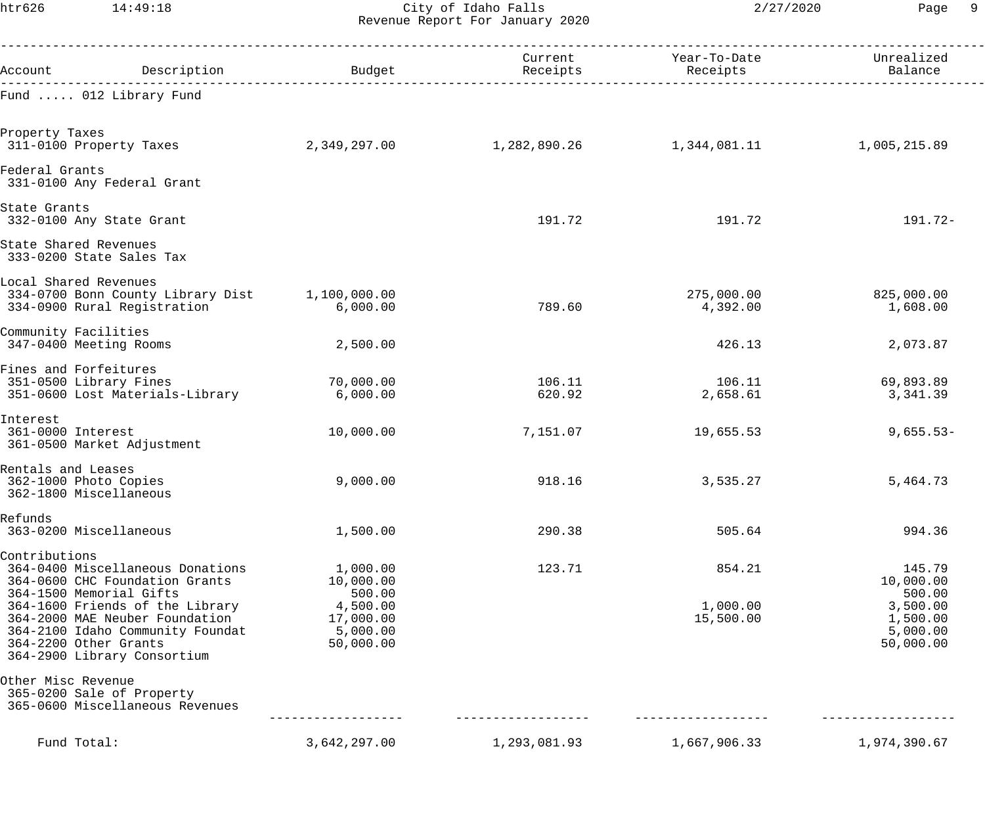htr626 14:49:18 City of Idaho Falls 2/27/2020 Page 9 Revenue Report For January 2020

| Account Description Description Dudget                                                                                                                                                                                                                                          |                                                                                   | Receipts         | Current Year-To-Date<br>Receipts | Unrealized<br>Balance                                                          |
|---------------------------------------------------------------------------------------------------------------------------------------------------------------------------------------------------------------------------------------------------------------------------------|-----------------------------------------------------------------------------------|------------------|----------------------------------|--------------------------------------------------------------------------------|
| Fund  012 Library Fund                                                                                                                                                                                                                                                          |                                                                                   |                  |                                  |                                                                                |
| Property Taxes<br>311-0100 Property Taxes                                                                                                                                                                                                                                       |                                                                                   |                  |                                  | 1,005,215.89                                                                   |
| Federal Grants<br>331-0100 Any Federal Grant                                                                                                                                                                                                                                    |                                                                                   |                  |                                  |                                                                                |
| State Grants<br>332-0100 Any State Grant                                                                                                                                                                                                                                        |                                                                                   | 191.72           | 191.72                           | 191.72-                                                                        |
| State Shared Revenues<br>333-0200 State Sales Tax                                                                                                                                                                                                                               |                                                                                   |                  |                                  |                                                                                |
| Local Shared Revenues<br>334-0700 Bonn County Library Dist 1,100,000.00<br>334-0900 Rural Registration                                                                                                                                                                          | 6,000.00                                                                          | 789.60           | 275,000.00<br>4,392.00           | 825,000.00<br>1,608.00                                                         |
| Community Facilities<br>347-0400 Meeting Rooms                                                                                                                                                                                                                                  | 2,500.00                                                                          |                  | 426.13                           | 2,073.87                                                                       |
| Fines and Forfeitures<br>351-0500 Library Fines<br>351-0600 Lost Materials-Library                                                                                                                                                                                              | 70,000.00<br>6,000.00                                                             | 106.11<br>620.92 | 106.11<br>2,658.61               | 69,893.89<br>3,341.39                                                          |
| Interest<br>361-0000 Interest<br>361-0500 Market Adjustment                                                                                                                                                                                                                     | 10,000.00                                                                         | 7,151.07         | 19,655.53                        | $9,655.53-$                                                                    |
| Rentals and Leases<br>362-1000 Photo Copies<br>362-1800 Miscellaneous                                                                                                                                                                                                           | 9,000.00                                                                          | 918.16           | 3,535.27                         | 5,464.73                                                                       |
| Refunds<br>363-0200 Miscellaneous                                                                                                                                                                                                                                               | 1,500.00                                                                          | 290.38           | 505.64                           | 994.36                                                                         |
| Contributions<br>364-0400 Miscellaneous Donations<br>364-0600 CHC Foundation Grants<br>364-1500 Memorial Gifts<br>364-1600 Friends of the Library<br>364-2000 MAE Neuber Foundation<br>364-2100 Idaho Community Foundat<br>364-2200 Other Grants<br>364-2900 Library Consortium | 1,000.00<br>10,000.00<br>500.00<br>4,500.00<br>17,000.00<br>5,000.00<br>50,000.00 | 123.71           | 854.21<br>1,000.00<br>15,500.00  | 145.79<br>10,000.00<br>500.00<br>3,500.00<br>1,500.00<br>5,000.00<br>50,000.00 |
| Other Misc Revenue<br>365-0200 Sale of Property<br>365-0600 Miscellaneous Revenues                                                                                                                                                                                              |                                                                                   |                  |                                  |                                                                                |
| Fund Total:                                                                                                                                                                                                                                                                     | 3,642,297.00                                                                      | 1,293,081.93     | 1,667,906.33                     | 1,974,390.67                                                                   |